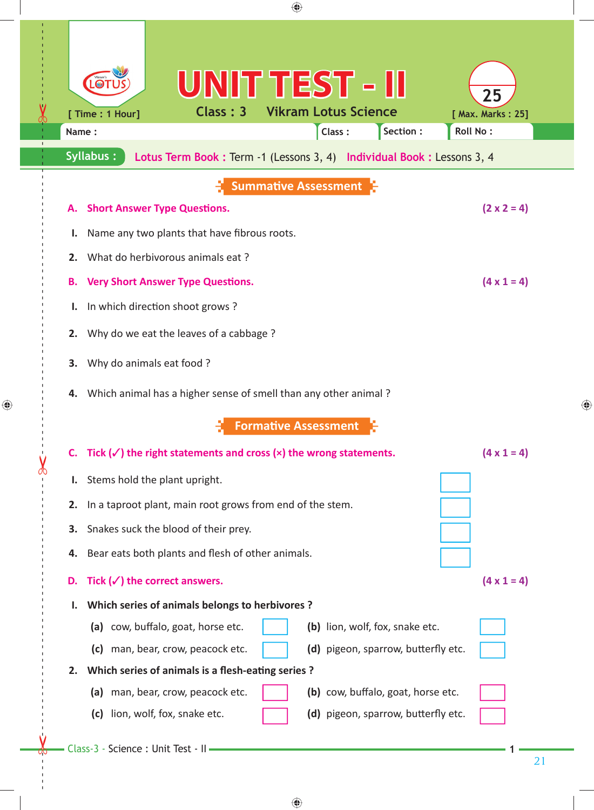| ♠                                                                                                                                                                                                                                                                                                                                                                                                                         |   |  |  |  |  |  |
|---------------------------------------------------------------------------------------------------------------------------------------------------------------------------------------------------------------------------------------------------------------------------------------------------------------------------------------------------------------------------------------------------------------------------|---|--|--|--|--|--|
| UNIT TEST - II<br>25<br><b>Vikram Lotus Science</b><br>Class: 3<br>[ Time : 1 Hour]<br>[ Max. Marks: 25]<br>Section :<br>Roll No:<br>Class:<br>Name:                                                                                                                                                                                                                                                                      |   |  |  |  |  |  |
| <b>Syllabus:</b><br>Lotus Term Book: Term -1 (Lessons 3, 4) Individual Book: Lessons 3, 4                                                                                                                                                                                                                                                                                                                                 |   |  |  |  |  |  |
| <b>Summative Assessment</b><br>$(2 \times 2 = 4)$<br><b>Short Answer Type Questions.</b><br>А.<br>Name any two plants that have fibrous roots.<br>ı.                                                                                                                                                                                                                                                                      |   |  |  |  |  |  |
| What do herbivorous animals eat?<br>2.<br>$(4 \times 1 = 4)$<br><b>Very Short Answer Type Questions.</b><br>В.<br>In which direction shoot grows?<br>ι.                                                                                                                                                                                                                                                                   |   |  |  |  |  |  |
| Why do we eat the leaves of a cabbage?<br>2.<br>Why do animals eat food ?<br>3.<br>Which animal has a higher sense of smell than any other animal?<br>4.                                                                                                                                                                                                                                                                  | ⊕ |  |  |  |  |  |
| <b>Formative Assessment</b><br>Tick $(\checkmark)$ the right statements and cross $(x)$ the wrong statements.<br>$(4 \times 1 = 4)$<br>C.                                                                                                                                                                                                                                                                                 |   |  |  |  |  |  |
| Stems hold the plant upright.<br>I.<br>2. In a taproot plant, main root grows from end of the stem.                                                                                                                                                                                                                                                                                                                       |   |  |  |  |  |  |
| Snakes suck the blood of their prey.<br>3.<br>4. Bear eats both plants and flesh of other animals.                                                                                                                                                                                                                                                                                                                        |   |  |  |  |  |  |
| Tick $(\checkmark)$ the correct answers.<br>$(4 \times 1 = 4)$<br>D.                                                                                                                                                                                                                                                                                                                                                      |   |  |  |  |  |  |
| Which series of animals belongs to herbivores?<br>(a) cow, buffalo, goat, horse etc.<br>(b) lion, wolf, fox, snake etc.<br>man, bear, crow, peacock etc.<br>(d) pigeon, sparrow, butterfly etc.<br>(c)<br>Which series of animals is a flesh-eating series?<br>2.<br>(b) cow, buffalo, goat, horse etc.<br>(a) man, bear, crow, peacock etc.<br>lion, wolf, fox, snake etc.<br>(d) pigeon, sparrow, butterfly etc.<br>(c) |   |  |  |  |  |  |
| Class-3 - Science : Unit Test - II<br>21                                                                                                                                                                                                                                                                                                                                                                                  |   |  |  |  |  |  |

 $\bigoplus$